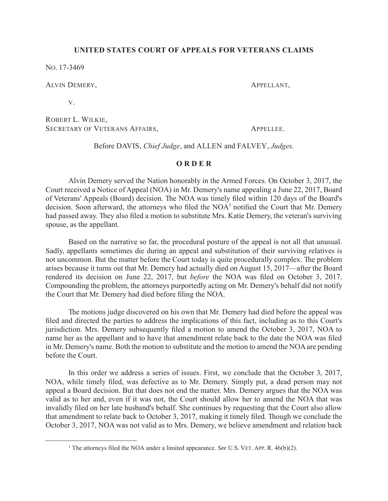### **UNITED STATES COURT OF APPEALS FOR VETERANS CLAIMS**

NO. 17-3469

#### ALVIN DEMERY, APPELLANT,

V.

ROBERT L. WILKIE, SECRETARY OF VETERANS AFFAIRS, APPELLEE.

Before DAVIS, *Chief Judge*, and ALLEN and FALVEY, *Judges.*

#### **O R D E R**

Alvin Demery served the Nation honorably in the Armed Forces. On October 3, 2017, the Court received a Notice of Appeal (NOA) in Mr. Demery's name appealing a June 22, 2017, Board of Veterans' Appeals (Board) decision. The NOA was timely filed within 120 days of the Board's decision. Soon afterward, the attorneys who filed the NOA<sup>1</sup> notified the Court that Mr. Demery had passed away. They also filed a motion to substitute Mrs. Katie Demery, the veteran's surviving spouse, as the appellant.

Based on the narrative so far, the procedural posture of the appeal is not all that unusual. Sadly, appellants sometimes die during an appeal and substitution of their surviving relatives is not uncommon. But the matter before the Court today is quite procedurally complex. The problem arises because it turns out that Mr. Demery had actually died on August 15, 2017—after the Board rendered its decision on June 22, 2017, but *before* the NOA was filed on October 3, 2017. Compounding the problem, the attorneys purportedly acting on Mr. Demery's behalf did not notify the Court that Mr. Demery had died before filing the NOA.

The motions judge discovered on his own that Mr. Demery had died before the appeal was filed and directed the parties to address the implications of this fact, including as to this Court's jurisdiction. Mrs. Demery subsequently filed a motion to amend the October 3, 2017, NOA to name her as the appellant and to have that amendment relate back to the date the NOA was filed in Mr. Demery's name. Both the motion to substitute and the motion to amend the NOA are pending before the Court.

In this order we address a series of issues. First, we conclude that the October 3, 2017, NOA, while timely filed, was defective as to Mr. Demery. Simply put, a dead person may not appeal a Board decision. But that does not end the matter. Mrs. Demery argues that the NOA was valid as to her and, even if it was not, the Court should allow her to amend the NOA that was invalidly filed on her late husband's behalf. She continues by requesting that the Court also allow that amendment to relate back to October 3, 2017, making it timely filed. Though we conclude the October 3, 2017, NOA was not valid as to Mrs. Demery, we believe amendment and relation back

<sup>&</sup>lt;u>1</u> <sup>1</sup> The attorneys filed the NOA under a limited appearance. *See* U.S. VET. APP. R.  $46(b)(2)$ .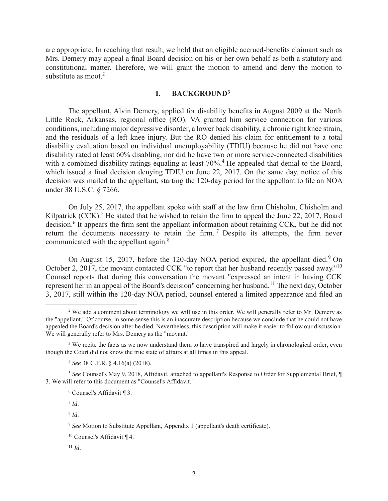are appropriate. In reaching that result, we hold that an eligible accrued-benefits claimant such as Mrs. Demery may appeal a final Board decision on his or her own behalf as both a statutory and constitutional matter. Therefore, we will grant the motion to amend and deny the motion to substitute as moot. $2$ 

## **I. BACKGROUND<sup>3</sup>**

The appellant, Alvin Demery, applied for disability benefits in August 2009 at the North Little Rock, Arkansas, regional office (RO). VA granted him service connection for various conditions, including major depressive disorder, a lower back disability, a chronic right knee strain, and the residuals of a left knee injury. But the RO denied his claim for entitlement to a total disability evaluation based on individual unemployability (TDIU) because he did not have one disability rated at least 60% disabling, nor did he have two or more service-connected disabilities with a combined disability ratings equaling at least 70%.<sup>4</sup> He appealed that denial to the Board, which issued a final decision denying TDIU on June 22, 2017. On the same day, notice of this decision was mailed to the appellant, starting the 120-day period for the appellant to file an NOA under 38 U.S.C. § 7266.

On July 25, 2017, the appellant spoke with staff at the law firm Chisholm, Chisholm and Kilpatrick  $(CCK)$ .<sup>5</sup> He stated that he wished to retain the firm to appeal the June 22, 2017, Board decision.<sup>6</sup> It appears the firm sent the appellant information about retaining CCK, but he did not return the documents necessary to retain the firm.<sup>7</sup> Despite its attempts, the firm never communicated with the appellant again.<sup>8</sup>

On August 15, 2017, before the 120-day NOA period expired, the appellant died.<sup>9</sup> On October 2, 2017, the movant contacted CCK "to report that her husband recently passed away."<sup>10</sup> Counsel reports that during this conversation the movant "expressed an intent in having CCK represent her in an appeal of the Board's decision" concerning her husband.<sup>11</sup> The next day, October 3, 2017, still within the 120-day NOA period, counsel entered a limited appearance and filed an

<sup>8</sup> *Id*.

<sup>9</sup> *See* Motion to Substitute Appellant, Appendix 1 (appellant's death certificate).

 $\overline{\phantom{a}}$ <sup>2</sup> We add a comment about terminology we will use in this order. We will generally refer to Mr. Demery as the "appellant." Of course, in some sense this is an inaccurate description because we conclude that he could not have appealed the Board's decision after he died. Nevertheless, this description will make it easier to follow our discussion. We will generally refer to Mrs. Demery as the "movant."

<sup>&</sup>lt;sup>3</sup> We recite the facts as we now understand them to have transpired and largely in chronological order, even though the Court did not know the true state of affairs at all times in this appeal.

<sup>4</sup> *See* 38 C.F.R. § 4.16(a) (2018).

<sup>5</sup> *See* Counsel's May 9, 2018, Affidavit, attached to appellant's Response to Order for Supplemental Brief, ¶ 3. We will refer to this document as "Counsel's Affidavit."

<sup>6</sup> Counsel's Affidavit ¶ 3.

 $^7$  *Id.* 

<sup>10</sup> Counsel's Affidavit ¶ 4.

 $11$  *Id.*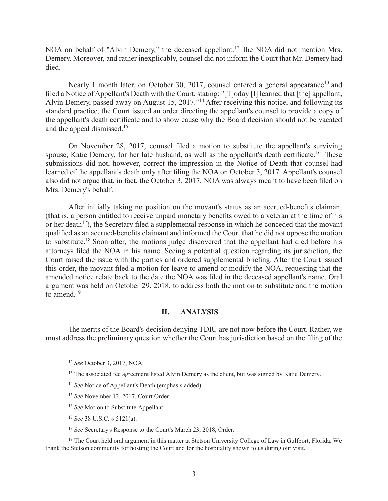NOA on behalf of "Alvin Demery," the deceased appellant.<sup>12</sup> The NOA did not mention Mrs. Demery. Moreover, and rather inexplicably, counsel did not inform the Court that Mr. Demery had died.

Nearly 1 month later, on October 30, 2017, counsel entered a general appearance<sup>13</sup> and filed a Notice of Appellant's Death with the Court, stating: "[T]oday [I] learned that [the] appellant, Alvin Demery, passed away on August 15, 2017."<sup>14</sup> After receiving this notice, and following its standard practice, the Court issued an order directing the appellant's counsel to provide a copy of the appellant's death certificate and to show cause why the Board decision should not be vacated and the appeal dismissed.<sup>15</sup>

On November 28, 2017, counsel filed a motion to substitute the appellant's surviving spouse, Katie Demery, for her late husband, as well as the appellant's death certificate.<sup>16</sup> These submissions did not, however, correct the impression in the Notice of Death that counsel had learned of the appellant's death only after filing the NOA on October 3, 2017. Appellant's counsel also did not argue that, in fact, the October 3, 2017, NOA was always meant to have been filed on Mrs. Demery's behalf.

After initially taking no position on the movant's status as an accrued-benefits claimant (that is, a person entitled to receive unpaid monetary benefits owed to a veteran at the time of his or her death<sup>17</sup>), the Secretary filed a supplemental response in which he conceded that the movant qualified as an accrued-benefits claimant and informed the Court that he did not oppose the motion to substitute.<sup>18</sup> Soon after, the motions judge discovered that the appellant had died before his attorneys filed the NOA in his name. Seeing a potential question regarding its jurisdiction, the Court raised the issue with the parties and ordered supplemental briefing. After the Court issued this order, the movant filed a motion for leave to amend or modify the NOA, requesting that the amended notice relate back to the date the NOA was filed in the deceased appellant's name. Oral argument was held on October 29, 2018, to address both the motion to substitute and the motion to amend.<sup>19</sup>

#### **II. ANALYSIS**

The merits of the Board's decision denying TDIU are not now before the Court. Rather, we must address the preliminary question whether the Court has jurisdiction based on the filing of the

- <sup>16</sup> *See* Motion to Substitute Appellant.
- <sup>17</sup> *See* 38 U.S.C. § 5121(a).

<sup>18</sup> *See* Secretary's Response to the Court's March 23, 2018, Order.

<sup>19</sup> The Court held oral argument in this matter at Stetson University College of Law in Gulfport, Florida. We thank the Stetson community for hosting the Court and for the hospitality shown to us during our visit.

 <sup>12</sup> *See* October 3, 2017, NOA.

<sup>&</sup>lt;sup>13</sup> The associated fee agreement listed Alvin Demery as the client, but was signed by Katie Demery.

<sup>&</sup>lt;sup>14</sup> *See* Notice of Appellant's Death (emphasis added).

<sup>15</sup> *See* November 13, 2017, Court Order.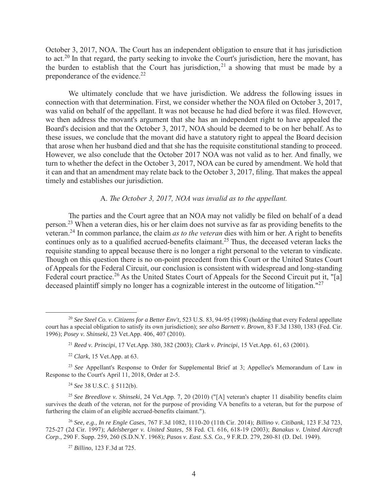October 3, 2017, NOA. The Court has an independent obligation to ensure that it has jurisdiction to act.<sup>20</sup> In that regard, the party seeking to invoke the Court's jurisdiction, here the movant, has the burden to establish that the Court has jurisdiction,<sup>21</sup> a showing that must be made by a preponderance of the evidence.<sup>22</sup>

We ultimately conclude that we have jurisdiction. We address the following issues in connection with that determination. First, we consider whether the NOA filed on October 3, 2017, was valid on behalf of the appellant. It was not because he had died before it was filed. However, we then address the movant's argument that she has an independent right to have appealed the Board's decision and that the October 3, 2017, NOA should be deemed to be on her behalf. As to these issues, we conclude that the movant did have a statutory right to appeal the Board decision that arose when her husband died and that she has the requisite constitutional standing to proceed. However, we also conclude that the October 2017 NOA was not valid as to her. And finally, we turn to whether the defect in the October 3, 2017, NOA can be cured by amendment. We hold that it can and that an amendment may relate back to the October 3, 2017, filing. That makes the appeal timely and establishes our jurisdiction.

## A. *The October 3, 2017, NOA was invalid as to the appellant.*

The parties and the Court agree that an NOA may not validly be filed on behalf of a dead person.<sup>23</sup> When a veteran dies, his or her claim does not survive as far as providing benefits to the veteran.<sup>24</sup> In common parlance, the claim *as to the veteran* dies with him or her. A right to benefits continues only as to a qualified accrued-benefits claimant.<sup>25</sup> Thus, the deceased veteran lacks the requisite standing to appeal because there is no longer a right personal to the veteran to vindicate. Though on this question there is no on-point precedent from this Court or the United States Court of Appeals for the Federal Circuit, our conclusion is consistent with widespread and long-standing Federal court practice.<sup>26</sup> As the United States Court of Appeals for the Second Circuit put it, "[a] deceased plaintiff simply no longer has a cognizable interest in the outcome of litigation."<sup>27</sup>

<sup>24</sup> *See* 38 U.S.C. § 5112(b).

 <sup>20</sup> *See Steel Co. v. Citizens for a Better Env't*, 523 U.S. 83, 94-95 (1998) (holding that every Federal appellate court has a special obligation to satisfy its own jurisdiction); *see also Barnett v. Brown*, 83 F.3d 1380, 1383 (Fed. Cir. 1996); *Posey v. Shinseki*, 23 Vet.App. 406, 407 (2010).

<sup>21</sup> *Reed v. Principi*, 17 Vet.App. 380, 382 (2003); *Clark v. Principi*, 15 Vet.App. 61, 63 (2001).

<sup>22</sup> *Clark*, 15 Vet.App. at 63.

<sup>&</sup>lt;sup>23</sup> See Appellant's Response to Order for Supplemental Brief at 3; Appellee's Memorandum of Law in Response to the Court's April 11, 2018, Order at 2-5.

<sup>25</sup> *See Breedlove v. Shinseki*, 24 Vet.App. 7, 20 (2010) ("[A] veteran's chapter 11 disability benefits claim survives the death of the veteran, not for the purpose of providing VA benefits to a veteran, but for the purpose of furthering the claim of an eligible accrued-benefits claimant.").

<sup>26</sup> *See, e.g., In re Engle Cases*, 767 F.3d 1082, 1110-20 (11th Cir. 2014); *Billino v. Citibank*, 123 F.3d 723, 725-27 (2d Cir. 1997); *Adelsberger v. United States*, 58 Fed. Cl. 616, 618-19 (2003); *Banakus v. United Aircraft Corp.*, 290 F. Supp. 259, 260 (S.D.N.Y. 1968); *Pasos v. East. S.S. Co.*, 9 F.R.D. 279, 280-81 (D. Del. 1949).

<sup>27</sup> *Billino*, 123 F.3d at 725.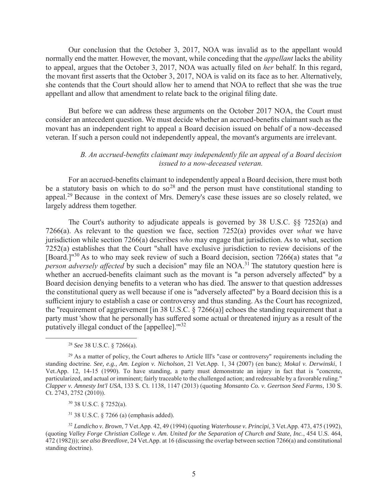Our conclusion that the October 3, 2017, NOA was invalid as to the appellant would normally end the matter. However, the movant, while conceding that the *appellant* lacks the ability to appeal, argues that the October 3, 2017, NOA was actually filed on *her* behalf. In this regard, the movant first asserts that the October 3, 2017, NOA is valid on its face as to her. Alternatively, she contends that the Court should allow her to amend that NOA to reflect that she was the true appellant and allow that amendment to relate back to the original filing date.

But before we can address these arguments on the October 2017 NOA, the Court must consider an antecedent question. We must decide whether an accrued-benefits claimant such as the movant has an independent right to appeal a Board decision issued on behalf of a now-deceased veteran. If such a person could not independently appeal, the movant's arguments are irrelevant.

# *B. An accrued-benefits claimant may independently file an appeal of a Board decision issued to a now-deceased veteran.*

For an accrued-benefits claimant to independently appeal a Board decision, there must both be a statutory basis on which to do so<sup>28</sup> and the person must have constitutional standing to appeal.<sup>29</sup> Because in the context of Mrs. Demery's case these issues are so closely related, we largely address them together.

The Court's authority to adjudicate appeals is governed by 38 U.S.C.  $\S$  7252(a) and 7266(a). As relevant to the question we face, section 7252(a) provides over *what* we have jurisdiction while section 7266(a) describes *who* may engage that jurisdiction. As to what, section 7252(a) establishes that the Court "shall have exclusive jurisdiction to review decisions of the [Board.]"<sup>30</sup> As to who may seek review of such a Board decision, section 7266(a) states that "*a person adversely affected* by such a decision" may file an NOA.<sup>31</sup> The statutory question here is whether an accrued-benefits claimant such as the movant is "a person adversely affected" by a Board decision denying benefits to a veteran who has died. The answer to that question addresses the constitutional query as well because if one is "adversely affected" by a Board decision this is a sufficient injury to establish a case or controversy and thus standing. As the Court has recognized, the "requirement of aggrievement [in 38 U.S.C. § 7266(a)] echoes the standing requirement that a party must 'show that he personally has suffered some actual or threatened injury as a result of the putatively illegal conduct of the [appellee].'"<sup>32</sup>

30 38 U.S.C. § 7252(a).

31 38 U.S.C. § 7266 (a) (emphasis added).

<sup>32</sup> *Landicho v. Brown*, 7 Vet.App. 42, 49 (1994) (quoting *Waterhouse v. Principi*, 3 Vet.App. 473, 475 (1992), (quoting *Valley Forge Christian College v. Am. United for the Separation of Church and State, Inc.*, 454 U.S. 464, 472 (1982))); *see also Breedlove*, 24 Vet.App. at 16 (discussing the overlap between section 7266(a) and constitutional standing doctrine).

 <sup>28</sup> *See* 38 U.S.C. § 7266(a).

<sup>&</sup>lt;sup>29</sup> As a matter of policy, the Court adheres to Article III's "case or controversy" requirements including the standing doctrine. *See, e.g., Am. Legion v. Nicholson*, 21 Vet.App. 1, 34 (2007) (en banc); *Mokal v. Derwinski*, 1 Vet.App. 12, 14-15 (1990). To have standing, a party must demonstrate an injury in fact that is "concrete, particularized, and actual or imminent; fairly traceable to the challenged action; and redressable by a favorable ruling." *Clapper v. Amnesty Int'l USA*, 133 S. Ct. 1138, 1147 (2013) (quoting *Monsanto Co. v. Geertson Seed Farms*, 130 S. Ct. 2743, 2752 (2010)).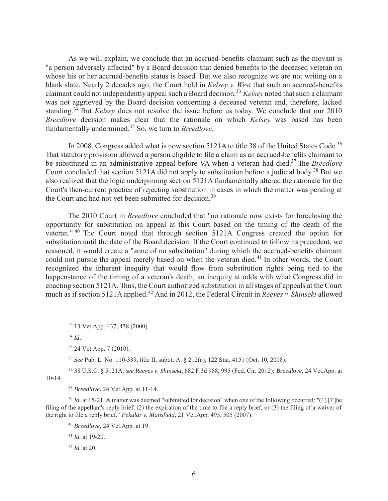As we will explain, we conclude that an accrued-benefits claimant such as the movant is "a person adversely affected" by a Board decision that denied benefits to the deceased veteran on whose his or her accrued-benefits status is based. But we also recognize we are not writing on a blank slate. Nearly 2 decades ago, the Court held in *Kelsey v. West* that such an accrued-benefits claimant could not independently appeal such a Board decision.<sup>33</sup> *Kelsey* noted that such a claimant was not aggrieved by the Board decision concerning a deceased veteran and, therefore, lacked standing.<sup>34</sup> But *Kelsey* does not resolve the issue before us today. We conclude that our 2010 *Breedlove* decision makes clear that the rationale on which *Kelsey* was based has been fundamentally undermined.<sup>35</sup> So, we turn to *Breedlove*.

In 2008, Congress added what is now section 5121A to title 38 of the United States Code.<sup>36</sup> That statutory provision allowed a person eligible to file a claim as an accrued-benefits claimant to be substituted in an administrative appeal before VA when a veteran had died.<sup>37</sup> The *Breedlove* Court concluded that section 5121A did not apply to substitution before a judicial body.<sup>38</sup> But we also realized that the logic underpinning section 5121A fundamentally altered the rationale for the Court's then-current practice of rejecting substitution in cases in which the matter was pending at the Court and had not yet been submitted for decision.<sup>39</sup>

The 2010 Court in *Breedlove* concluded that "no rationale now exists for foreclosing the opportunity for substitution on appeal at this Court based on the timing of the death of the veteran."  $40$  The Court noted that through section 5121A Congress created the option for substitution until the date of the Board decision. If the Court continued to follow its precedent, we reasoned, it would create a "zone of no substitution" during which the accrued-benefits claimant could not pursue the appeal merely based on when the veteran died.<sup>41</sup> In other words, the Court recognized the inherent inequity that would flow from substitution rights being tied to the happenstance of the timing of a veteran's death, an inequity at odds with what Congress did in enacting section 5121A. Thus, the Court authorized substitution in all stages of appeals at the Court much as if section 5121A applied.<sup>42</sup> And in 2012, the Federal Circuit in *Reeves v. Shinseki* allowed

<sup>34</sup> *Id*.

35 24 Vet.App. 7 (2010).

<sup>36</sup> *See* Pub. L. No. 110-389, title II, subtit. A, § 212(a), 122 Stat. 4151 (Oct. 10, 2008).

37 38 U.S.C. § 5121A; *see Reeves v. Shinseki*, 682 F.3d 988, 995 (Fed. Cir. 2012); *Breedlove*, 24 Vet.App. at 10-14.

<sup>38</sup> *Breedlove*, 24 Vet.App. at 11-14.

<sup>39</sup> *Id.* at 15-21. A matter was deemed "submitted for decision" when one of the following occurred: "(1) [T]he filing of the appellant's reply brief, (2) the expiration of the time to file a reply brief, or (3) the filing of a waiver of the right to file a reply brief." *Pekular v. Mansfield*, 21 Vet.App. 495, 505 (2007).

<sup>40</sup> *Breedlove,* 24 Vet.App. at 19.

<sup>41</sup> *Id.* at 19-20.

<sup>42</sup> *Id.* at 20.

 <sup>33 13</sup> Vet.App. 437, 438 (2000).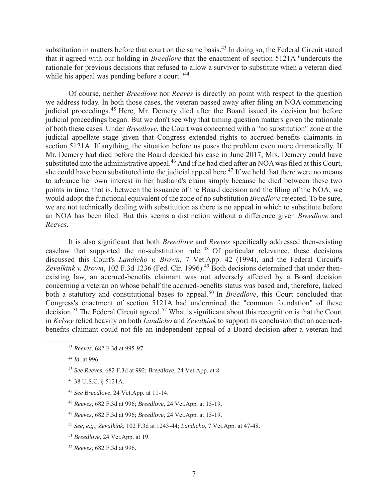substitution in matters before that court on the same basis.<sup>43</sup> In doing so, the Federal Circuit stated that it agreed with our holding in *Breedlove* that the enactment of section 5121A "undercuts the rationale for previous decisions that refused to allow a survivor to substitute when a veteran died while his appeal was pending before a court."<sup>44</sup>

Of course, neither *Breedlove* nor *Reeves* is directly on point with respect to the question we address today. In both those cases, the veteran passed away after filing an NOA commencing judicial proceedings.<sup>45</sup> Here, Mr. Demery died after the Board issued its decision but before judicial proceedings began. But we don't see why that timing question matters given the rationale of both these cases. Under *Breedlove*, the Court was concerned with a "no substitution" zone at the judicial appellate stage given that Congress extended rights to accrued-benefits claimants in section 5121A. If anything, the situation before us poses the problem even more dramatically. If Mr. Demery had died before the Board decided his case in June 2017, Mrs. Demery could have substituted into the administrative appeal.<sup>46</sup> And if he had died after an NOA was filed at this Court, she could have been substituted into the judicial appeal here.<sup>47</sup> If we held that there were no means to advance her own interest in her husband's claim simply because he died between these two points in time, that is, between the issuance of the Board decision and the filing of the NOA, we would adopt the functional equivalent of the zone of no substitution *Breedlove* rejected. To be sure, we are not technically dealing with substitution as there is no appeal in which to substitute before an NOA has been filed. But this seems a distinction without a difference given *Breedlove* and *Reeves*.

It is also significant that both *Breedlove* and *Reeves* specifically addressed then-existing caselaw that supported the no-substitution rule. <sup>48</sup> Of particular relevance, these decisions discussed this Court's *Landicho v. Brown,* 7 Vet.App. 42 (1994), and the Federal Circuit's Zevalkink v. Brown, 102 F.3d 1236 (Fed. Cir. 1996).<sup>49</sup> Both decisions determined that under thenexisting law, an accrued-benefits claimant was not adversely affected by a Board decision concerning a veteran on whose behalf the accrued-benefits status was based and, therefore, lacked both a statutory and constitutional bases to appeal.<sup>50</sup> In *Breedlove*, this Court concluded that Congress's enactment of section 5121A had undermined the "common foundation" of these decision.<sup>51</sup> The Federal Circuit agreed.<sup>52</sup> What is significant about this recognition is that the Court in *Kelsey* relied heavily on both *Landicho* and *Zevalkink* to support its conclusion that an accruedbenefits claimant could not file an independent appeal of a Board decision after a veteran had

- <sup>47</sup> *See Breedlove*, 24 Vet.App. at 11-14.
- <sup>48</sup> *Reeves*, 682 F.3d at 996; *Breedlove*, 24 Vet.App. at 15-19.
- <sup>49</sup> *Reeves*, 682 F.3d at 996; *Breedlove*, 24 Vet.App. at 15-19.
- <sup>50</sup> *See, e.g., Zevalkink*, 102 F.3d at 1243-44; *Landicho*, 7 Vet.App. at 47-48.
- <sup>51</sup> *Breedlove*, 24 Vet.App. at 19.
- <sup>52</sup> *Reeves*, 682 F.3d at 996.

 <sup>43</sup> *Reeves*, 682 F.3d at 995-97.

<sup>44</sup> *Id*. at 996.

<sup>45</sup> *See Reeves*, 682 F.3d at 992; *Breedlove*, 24 Vet.App. at 8.

<sup>46 38</sup> U.S.C. § 5121A.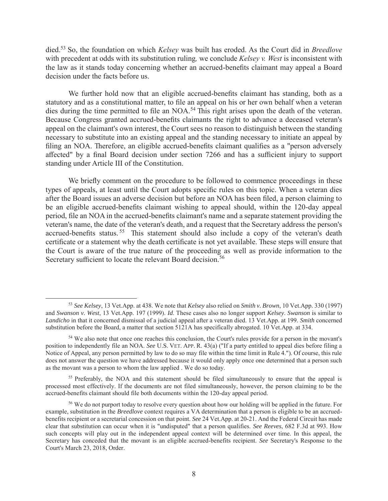died.<sup>53</sup> So, the foundation on which *Kelsey* was built has eroded. As the Court did in *Breedlove*  with precedent at odds with its substitution ruling*,* we conclude *Kelsey v. West* is inconsistent with the law as it stands today concerning whether an accrued-benefits claimant may appeal a Board decision under the facts before us.

We further hold now that an eligible accrued-benefits claimant has standing, both as a statutory and as a constitutional matter, to file an appeal on his or her own behalf when a veteran dies during the time permitted to file an NOA.<sup>54</sup> This right arises upon the death of the veteran. Because Congress granted accrued-benefits claimants the right to advance a deceased veteran's appeal on the claimant's own interest, the Court sees no reason to distinguish between the standing necessary to substitute into an existing appeal and the standing necessary to initiate an appeal by filing an NOA. Therefore, an eligible accrued-benefits claimant qualifies as a "person adversely affected" by a final Board decision under section 7266 and has a sufficient injury to support standing under Article III of the Constitution.

We briefly comment on the procedure to be followed to commence proceedings in these types of appeals, at least until the Court adopts specific rules on this topic. When a veteran dies after the Board issues an adverse decision but before an NOA has been filed, a person claiming to be an eligible accrued-benefits claimant wishing to appeal should, within the 120-day appeal period, file an NOA in the accrued-benefits claimant's name and a separate statement providing the veteran's name, the date of the veteran's death, and a request that the Secretary address the person's accrued-benefits status.<sup>55</sup> This statement should also include a copy of the veteran's death certificate or a statement why the death certificate is not yet available. These steps will ensure that the Court is aware of the true nature of the proceeding as well as provide information to the Secretary sufficient to locate the relevant Board decision.<sup>56</sup>

 <sup>53</sup> *See Kelsey*, 13 Vet.App. at 438. We note that *Kelsey* also relied on *Smith v. Brown*, 10 Vet.App. 330 (1997) and *Swanson v. West*, 13 Vet.App. 197 (1999). *Id*. These cases also no longer support *Kelsey*. *Swanson* is similar to *Landicho* in that it concerned dismissal of a judicial appeal after a veteran died. 13 Vet.App. at 199. *Smith* concerned substitution before the Board, a matter that section 5121A has specifically abrogated. 10 Vet.App. at 334.

<sup>54</sup> We also note that once one reaches this conclusion, the Court's rules provide for a person in the movant's position to independently file an NOA. *See* U.S. VET. APP. R. 43(a) ("If a party entitled to appeal dies before filing a Notice of Appeal, any person permitted by law to do so may file within the time limit in Rule 4."). Of course, this rule does not answer the question we have addressed because it would only apply once one determined that a person such as the movant was a person to whom the law applied . We do so today.

<sup>&</sup>lt;sup>55</sup> Preferably, the NOA and this statement should be filed simultaneously to ensure that the appeal is processed most effectively. If the documents are not filed simultaneously, however, the person claiming to be the accrued-benefits claimant should file both documents within the 120-day appeal period.

<sup>&</sup>lt;sup>56</sup> We do not purport today to resolve every question about how our holding will be applied in the future. For example, substitution in the *Breedlove* context requires a VA determination that a person is eligible to be an accruedbenefits recipient or a secretarial concession on that point. *See* 24 Vet.App. at 20-21. And the Federal Circuit has made clear that substitution can occur when it is "undisputed" that a person qualifies. *See Reeves*, 682 F.3d at 993. How such concepts will play out in the independent appeal context will be determined over time. In this appeal, the Secretary has conceded that the movant is an eligible accrued-benefits recipient. *See* Secretary's Response to the Court's March 23, 2018, Order.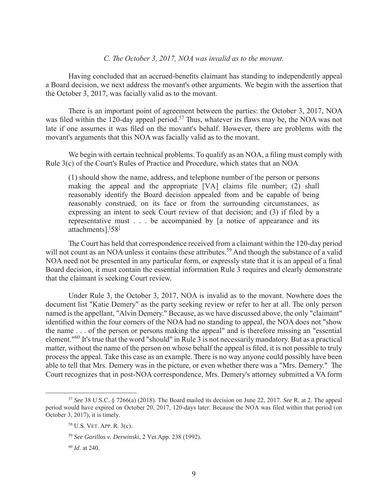### *C. The October 3, 2017, NOA was invalid as to the movant.*

Having concluded that an accrued-benefits claimant has standing to independently appeal a Board decision, we next address the movant's other arguments. We begin with the assertion that the October 3, 2017, was facially valid as to the movant.

There is an important point of agreement between the parties: the October 3, 2017, NOA was filed within the 120-day appeal period.<sup>57</sup> Thus, whatever its flaws may be, the NOA was not late if one assumes it was filed on the movant's behalf. However, there are problems with the movant's arguments that this NOA was facially valid as to the movant.

We begin with certain technical problems. To qualify as an NOA, a filing must comply with Rule 3(c) of the Court's Rules of Practice and Procedure, which states that an NOA

(1) should show the name, address, and telephone number of the person or persons making the appeal and the appropriate [VA] claims file number; (2) shall reasonably identify the Board decision appealed from and be capable of being reasonably construed, on its face or from the surrounding circumstances, as expressing an intent to seek Court review of that decision; and (3) if filed by a representative must . . . be accompanied by [a notice of appearance and its attachments].<sup>[58]</sup>

The Court has held that correspondence received from a claimant within the 120-day period will not count as an NOA unless it contains these attributes.<sup>59</sup> And though the substance of a valid NOA need not be presented in any particular form, or expressly state that it is an appeal of a final Board decision, it must contain the essential information Rule 3 requires and clearly demonstrate that the claimant is seeking Court review.

Under Rule 3, the October 3, 2017, NOA is invalid as to the movant. Nowhere does the document list "Katie Demery" as the party seeking review or refer to her at all. The only person named is the appellant, "Alvin Demery." Because, as we have discussed above, the only "claimant" identified within the four corners of the NOA had no standing to appeal, the NOA does not "show the name . . . of the person or persons making the appeal" and is therefore missing an "essential element."<sup>60</sup> It's true that the word "should" in Rule 3 is not necessarily mandatory. But as a practical matter, without the name of the person on whose behalf the appeal is filed, it is not possible to truly process the appeal. Take this case as an example. There is no way anyone could possibly have been able to tell that Mrs. Demery was in the picture, or even whether there was a "Mrs. Demery." The Court recognizes that in post-NOA correspondence, Mrs. Demery's attorney submitted a VA form

 <sup>57</sup> *See* 38 U.S.C. § 7266(a) (2018). The Board mailed its decision on June 22, 2017. *See* R. at 2. The appeal period would have expired on October 20, 2017, 120-days later. Because the NOA was filed within that period (on October 3, 2017), it is timely.

<sup>58</sup> U.S. VET. APP. R. 3(c).

<sup>59</sup> *See Garillos v. Derwinski*, 2 Vet.App. 238 (1992).

<sup>60</sup> *Id*. at 240.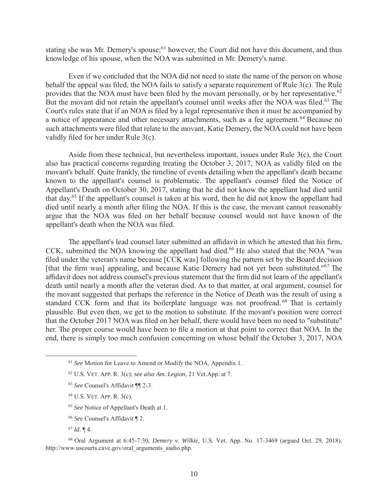stating she was Mr. Demery's spouse;  $61$  however, the Court did not have this document, and thus knowledge of his spouse, when the NOA was submitted in Mr. Demery's name.

Even if we concluded that the NOA did not need to state the name of the person on whose behalf the appeal was filed, the NOA fails to satisfy a separate requirement of Rule  $3(c)$ . The Rule provides that the NOA must have been filed by the movant personally, or by her representative.<sup>62</sup> But the movant did not retain the appellant's counsel until weeks after the NOA was filed.<sup>63</sup> The Court's rules state that if an NOA is filed by a legal representative then it must be accompanied by a notice of appearance and other necessary attachments, such as a fee agreement.<sup>64</sup> Because no such attachments were filed that relate to the movant, Katie Demery, the NOA could not have been validly filed for her under Rule 3(c).

Aside from these technical, but nevertheless important, issues under Rule 3(c), the Court also has practical concerns regarding treating the October 3, 2017, NOA as validly filed on the movant's behalf. Quite frankly, the timeline of events detailing when the appellant's death became known to the appellant's counsel is problematic. The appellant's counsel filed the Notice of Appellant's Death on October 30, 2017, stating that he did not know the appellant had died until that day.<sup>65</sup> If the appellant's counsel is taken at his word, then he did not know the appellant had died until nearly a month after filing the NOA. If this is the case, the movant cannot reasonably argue that the NOA was filed on her behalf because counsel would not have known of the appellant's death when the NOA was filed.

The appellant's lead counsel later submitted an affidavit in which he attested that his firm, CCK, submitted the NOA knowing the appellant had died.<sup>66</sup> He also stated that the NOA "was filed under the veteran's name because [CCK was] following the pattern set by the Board decision [that the firm was] appealing, and because Katie Demery had not yet been substituted." $67$  The affidavit does not address counsel's previous statement that the firm did not learn of the appellant's death until nearly a month after the veteran died. As to that matter, at oral argument, counsel for the movant suggested that perhaps the reference in the Notice of Death was the result of using a standard CCK form and that its boilerplate language was not proofread.  $68$  That is certainly plausible. But even then, we get to the motion to substitute. If the movant's position were correct that the October 2017 NOA was filed on her behalf, there would have been no need to "substitute" her. The proper course would have been to file a motion at that point to correct that NOA. In the end, there is simply too much confusion concerning on whose behalf the October 3, 2017, NOA

 <sup>61</sup> *See* Motion for Leave to Amend or Modify the NOA, Appendix 1.

<sup>62</sup> U.S. VET. APP. R. 3(c); *see also Am. Legion*, 21 Vet.App. at 7.

<sup>63</sup> *See* Counsel's Affidavit ¶¶ 2-3.

<sup>64</sup> U.S. VET. APP. R. 3(c).

<sup>65</sup> *See* Notice of Appellant's Death at 1.

<sup>66</sup> *See* Counsel's Affidavit ¶ 2.

 $67$  *Id.* 14.

<sup>68</sup> Oral Argument at 6:45-7:30, *Demery v. Wilkie*, U.S. Vet. App. No. 17-3469 (argued Oct. 29, 2018), http://www.uscourts.cavc.gov/oral\_arguments\_audio.php.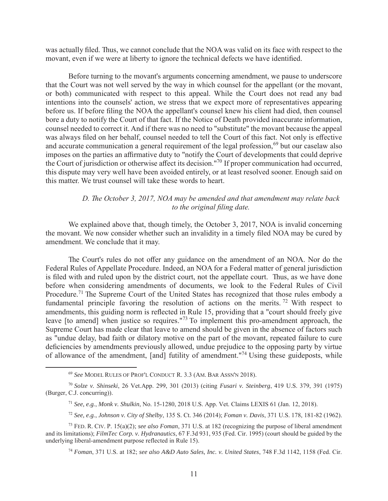was actually filed. Thus, we cannot conclude that the NOA was valid on its face with respect to the movant, even if we were at liberty to ignore the technical defects we have identified.

Before turning to the movant's arguments concerning amendment, we pause to underscore that the Court was not well served by the way in which counsel for the appellant (or the movant, or both) communicated with respect to this appeal. While the Court does not read any bad intentions into the counsels' action, we stress that we expect more of representatives appearing before us. If before filing the NOA the appellant's counsel knew his client had died, then counsel bore a duty to notify the Court of that fact. If the Notice of Death provided inaccurate information, counsel needed to correct it. And if there was no need to "substitute" the movant because the appeal was always filed on her behalf, counsel needed to tell the Court of this fact. Not only is effective and accurate communication a general requirement of the legal profession,  $69$  but our caselaw also imposes on the parties an affirmative duty to "notify the Court of developments that could deprive the Court of jurisdiction or otherwise affect its decision."<sup>70</sup> If proper communication had occurred, this dispute may very well have been avoided entirely, or at least resolved sooner. Enough said on this matter. We trust counsel will take these words to heart.

## *D. The October 3, 2017, NOA may be amended and that amendment may relate back to the original filing date.*

We explained above that, though timely, the October 3, 2017, NOA is invalid concerning the movant. We now consider whether such an invalidity in a timely filed NOA may be cured by amendment. We conclude that it may.

The Court's rules do not offer any guidance on the amendment of an NOA. Nor do the Federal Rules of Appellate Procedure. Indeed, an NOA for a Federal matter of general jurisdiction is filed with and ruled upon by the district court, not the appellate court. Thus, as we have done before when considering amendments of documents, we look to the Federal Rules of Civil Procedure.<sup>71</sup> The Supreme Court of the United States has recognized that those rules embody a fundamental principle favoring the resolution of actions on the merits. <sup>72</sup> With respect to amendments, this guiding norm is reflected in Rule 15, providing that a "court should freely give leave [to amend] when justice so requires."<sup>73</sup> To implement this pro-amendment approach, the Supreme Court has made clear that leave to amend should be given in the absence of factors such as "undue delay, bad faith or dilatory motive on the part of the movant, repeated failure to cure deficiencies by amendments previously allowed, undue prejudice to the opposing party by virtue of allowance of the amendment, [and] futility of amendment."<sup>74</sup> Using these guideposts, while

 <sup>69</sup> *See* MODEL RULES OF PROF'L CONDUCT R. 3.3 (AM. BAR ASSN'N 2018).

<sup>70</sup> *Solze v. Shinseki*, 26 Vet.App. 299, 301 (2013) (citing *Fusari v. Steinberg*, 419 U.S. 379, 391 (1975) (Burger, C.J. concurring)).

<sup>71</sup> *See, e.g.*, *Monk v. Shulkin*, No. 15-1280, 2018 U.S. App. Vet. Claims LEXIS 61 (Jan. 12, 2018).

<sup>72</sup> *See, e.g.*, *Johnson v. City of Shelby*, 135 S. Ct. 346 (2014); *Foman v. Davis*, 371 U.S. 178, 181-82 (1962).

<sup>73</sup> FED. R. CIV. P. 15(a)(2); *see also Foman*, 371 U.S. at 182 (recognizing the purpose of liberal amendment and its limitations); *FilmTec Corp. v. Hydranautics*, 67 F.3d 931, 935 (Fed. Cir. 1995) (court should be guided by the underlying liberal-amendment purpose reflected in Rule 15).

<sup>74</sup> *Foman*, 371 U.S. at 182; *see also A&D Auto Sales, Inc. v. United States*, 748 F.3d 1142, 1158 (Fed. Cir.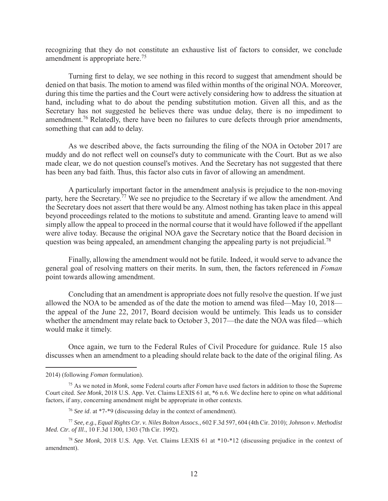recognizing that they do not constitute an exhaustive list of factors to consider, we conclude amendment is appropriate here.<sup>75</sup>

Turning first to delay, we see nothing in this record to suggest that amendment should be denied on that basis. The motion to amend was filed within months of the original NOA. Moreover, during this time the parties and the Court were actively considering how to address the situation at hand, including what to do about the pending substitution motion. Given all this, and as the Secretary has not suggested he believes there was undue delay, there is no impediment to amendment.<sup>76</sup> Relatedly, there have been no failures to cure defects through prior amendments, something that can add to delay.

As we described above, the facts surrounding the filing of the NOA in October 2017 are muddy and do not reflect well on counsel's duty to communicate with the Court. But as we also made clear, we do not question counsel's motives. And the Secretary has not suggested that there has been any bad faith. Thus, this factor also cuts in favor of allowing an amendment.

A particularly important factor in the amendment analysis is prejudice to the non-moving party, here the Secretary.<sup>77</sup> We see no prejudice to the Secretary if we allow the amendment. And the Secretary does not assert that there would be any. Almost nothing has taken place in this appeal beyond proceedings related to the motions to substitute and amend. Granting leave to amend will simply allow the appeal to proceed in the normal course that it would have followed if the appellant were alive today. Because the original NOA gave the Secretary notice that the Board decision in question was being appealed, an amendment changing the appealing party is not prejudicial.<sup>78</sup>

Finally, allowing the amendment would not be futile. Indeed, it would serve to advance the general goal of resolving matters on their merits. In sum, then, the factors referenced in *Foman* point towards allowing amendment.

Concluding that an amendment is appropriate does not fully resolve the question. If we just allowed the NOA to be amended as of the date the motion to amend was filed—May 10, 2018 the appeal of the June 22, 2017, Board decision would be untimely. This leads us to consider whether the amendment may relate back to October 3, 2017—the date the NOA was filed—which would make it timely.

Once again, we turn to the Federal Rules of Civil Procedure for guidance. Rule 15 also discusses when an amendment to a pleading should relate back to the date of the original filing. As

 $\overline{a}$ 

<sup>2014) (</sup>following *Foman* formulation).

<sup>75</sup> As we noted in *Monk*, some Federal courts after *Foman* have used factors in addition to those the Supreme Court cited. *See Monk*, 2018 U.S. App. Vet. Claims LEXIS 61 at, \*6 n.6. We decline here to opine on what additional factors, if any, concerning amendment might be appropriate in other contexts.

<sup>76</sup> *See id*. at \*7-\*9 (discussing delay in the context of amendment).

<sup>77</sup> *See, e.g., Equal Rights Ctr. v. Niles Bolton Assocs.*, 602 F.3d 597, 604 (4th Cir. 2010); *Johnson v. Methodist Med. Ctr. of Ill*., 10 F.3d 1300, 1303 (7th Cir. 1992).

<sup>78</sup> *See Monk*, 2018 U.S. App. Vet. Claims LEXIS 61 at \*10-\*12 (discussing prejudice in the context of amendment).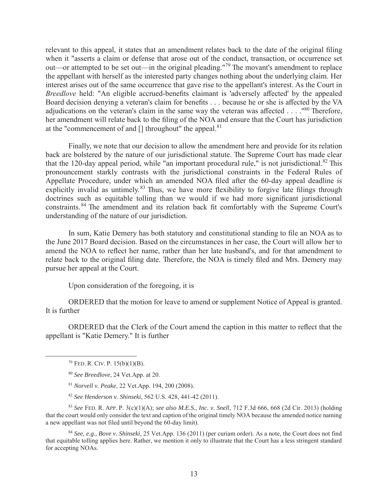relevant to this appeal, it states that an amendment relates back to the date of the original filing when it "asserts a claim or defense that arose out of the conduct, transaction, or occurrence set out—or attempted to be set out—in the original pleading."<sup>79</sup> The movant's amendment to replace the appellant with herself as the interested party changes nothing about the underlying claim. Her interest arises out of the same occurrence that gave rise to the appellant's interest. As the Court in *Breedlove* held: "An eligible accrued-benefits claimant is 'adversely affected' by the appealed Board decision denying a veteran's claim for benefits . . . because he or she is affected by the VA adjudications on the veteran's claim in the same way the veteran was affected  $\dots$ ."<sup>80</sup> Therefore, her amendment will relate back to the filing of the NOA and ensure that the Court has jurisdiction at the "commencement of and  $\lceil \cdot \rceil$  throughout" the appeal.<sup>81</sup>

Finally, we note that our decision to allow the amendment here and provide for its relation back are bolstered by the nature of our jurisdictional statute. The Supreme Court has made clear that the 120-day appeal period, while "an important procedural rule," is not jurisdictional. $82$  This pronouncement starkly contrasts with the jurisdictional constraints in the Federal Rules of Appellate Procedure, under which an amended NOA filed after the 60-day appeal deadline is explicitly invalid as untimely.<sup>83</sup> Thus, we have more flexibility to forgive late filings through doctrines such as equitable tolling than we would if we had more significant jurisdictional constraints.<sup>84</sup> The amendment and its relation back fit comfortably with the Supreme Court's understanding of the nature of our jurisdiction.

In sum, Katie Demery has both statutory and constitutional standing to file an NOA as to the June 2017 Board decision. Based on the circumstances in her case, the Court will allow her to amend the NOA to reflect her name, rather than her late husband's, and for that amendment to relate back to the original filing date. Therefore, the NOA is timely filed and Mrs. Demery may pursue her appeal at the Court.

Upon consideration of the foregoing, it is

ORDERED that the motion for leave to amend or supplement Notice of Appeal is granted. It is further

ORDERED that the Clerk of the Court amend the caption in this matter to reflect that the appellant is "Katie Demery." It is further

<sup>83</sup> *See* FED. R. APP. P. 3(c)(1)(A); *see also M.E.S., Inc. v. Snell*, 712 F.3d 666, 668 (2d Cir. 2013) (holding that the court would only consider the text and caption of the original timely NOA because the amended notice naming a new appellant was not filed until beyond the 60-day limit).

<sup>84</sup> *See, e.g., Bove v. Shinseki*, 25 Vet.App. 136 (2011) (per curiam order). As a note, the Court does not find that equitable tolling applies here. Rather, we mention it only to illustrate that the Court has a less stringent standard for accepting NOAs.

 $79$  FED. R. CIV. P. 15(b)(1)(B).

<sup>80</sup> *See Breedlove*, 24 Vet.App. at 20.

<sup>81</sup> *Norvell v. Peake*, 22 Vet.App. 194, 200 (2008).

<sup>82</sup> *See Henderson v. Shinseki*, 562 U.S. 428, 441-42 (2011).